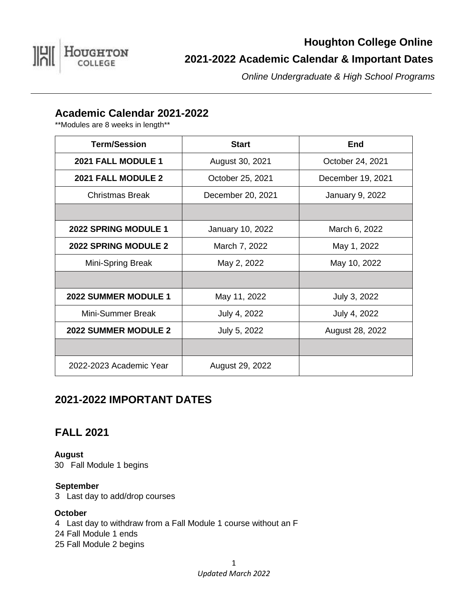

# **Houghton College Online 2021-2022 Academic Calendar & Important Dates**

*Online Undergraduate & High School Programs*

# **Academic Calendar 2021-2022**

\*\*Modules are 8 weeks in length\*\*

| <b>Term/Session</b>         | <b>Start</b>      | <b>End</b>             |
|-----------------------------|-------------------|------------------------|
| 2021 FALL MODULE 1          | August 30, 2021   | October 24, 2021       |
| 2021 FALL MODULE 2          | October 25, 2021  | December 19, 2021      |
| Christmas Break             | December 20, 2021 | <b>January 9, 2022</b> |
|                             |                   |                        |
| <b>2022 SPRING MODULE 1</b> | January 10, 2022  | March 6, 2022          |
| <b>2022 SPRING MODULE 2</b> | March 7, 2022     | May 1, 2022            |
| Mini-Spring Break           | May 2, 2022       | May 10, 2022           |
|                             |                   |                        |
| 2022 SUMMER MODULE 1        | May 11, 2022      | July 3, 2022           |
| Mini-Summer Break           | July 4, 2022      | July 4, 2022           |
| <b>2022 SUMMER MODULE 2</b> | July 5, 2022      | August 28, 2022        |
|                             |                   |                        |
| 2022-2023 Academic Year     | August 29, 2022   |                        |

# **2021-2022 IMPORTANT DATES**

# **FALL 2021**

**August** 30 Fall Module 1 begins

### **September**

3 Last day to add/drop courses

#### **October**

4 Last day to withdraw from a Fall Module 1 course without an F 24 Fall Module 1 ends 25 Fall Module 2 begins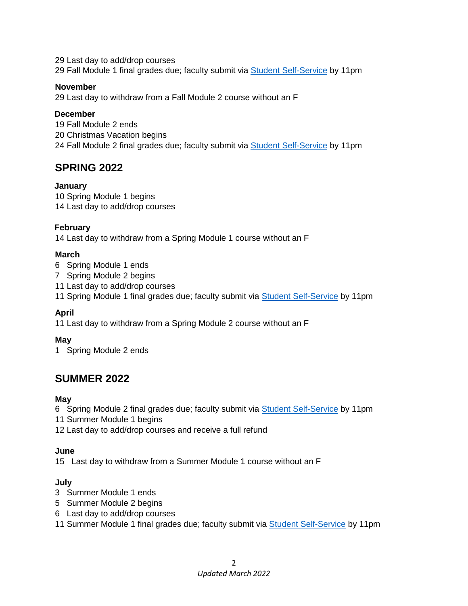29 Last day to add/drop courses 29 Fall Module 1 final grades due; faculty submit via [Student Self-Service](https://selfservice1.houghton.edu/PCSelfService/Home/LogIn?ReturnUrl=%2FPCSelfService%2F) by 11pm

#### **November**

29 Last day to withdraw from a Fall Module 2 course without an F

#### **December**

19 Fall Module 2 ends 20 Christmas Vacation begins 24 Fall Module 2 final grades due; faculty submit via [Student Self-Service](https://selfservice1.houghton.edu/PCSelfService/Home/LogIn?ReturnUrl=%2FPCSelfService%2F) by 11pm

### **SPRING 2022**

#### **January**

10 Spring Module 1 begins 14 Last day to add/drop courses

#### **February**

14 Last day to withdraw from a Spring Module 1 course without an F

#### **March**

- 6 Spring Module 1 ends
- 7 Spring Module 2 begins
- 11 Last day to add/drop courses
- 11 Spring Module 1 final grades due; faculty submit via [Student Self-Service](https://selfservice1.houghton.edu/PCSelfService/Home/LogIn?ReturnUrl=%2FPCSelfService%2F) by 11pm

### **April**

11 Last day to withdraw from a Spring Module 2 course without an F

#### **May**

1 Spring Module 2 ends

# **SUMMER 2022**

#### **May**

6 Spring Module 2 final grades due; faculty submit via [Student Self-Service](https://selfservice1.houghton.edu/PCSelfService/Home/LogIn?ReturnUrl=%2FPCSelfService%2F) by 11pm

- 11 Summer Module 1 begins
- 12 Last day to add/drop courses and receive a full refund

#### **June**

15 Last day to withdraw from a Summer Module 1 course without an F

#### **July**

- 3 Summer Module 1 ends
- 5 Summer Module 2 begins
- 6 Last day to add/drop courses
- 11 Summer Module 1 final grades due; faculty submit via [Student Self-Service](https://selfservice1.houghton.edu/PCSelfService/Home/LogIn?ReturnUrl=%2FPCSelfService%2F) by 11pm